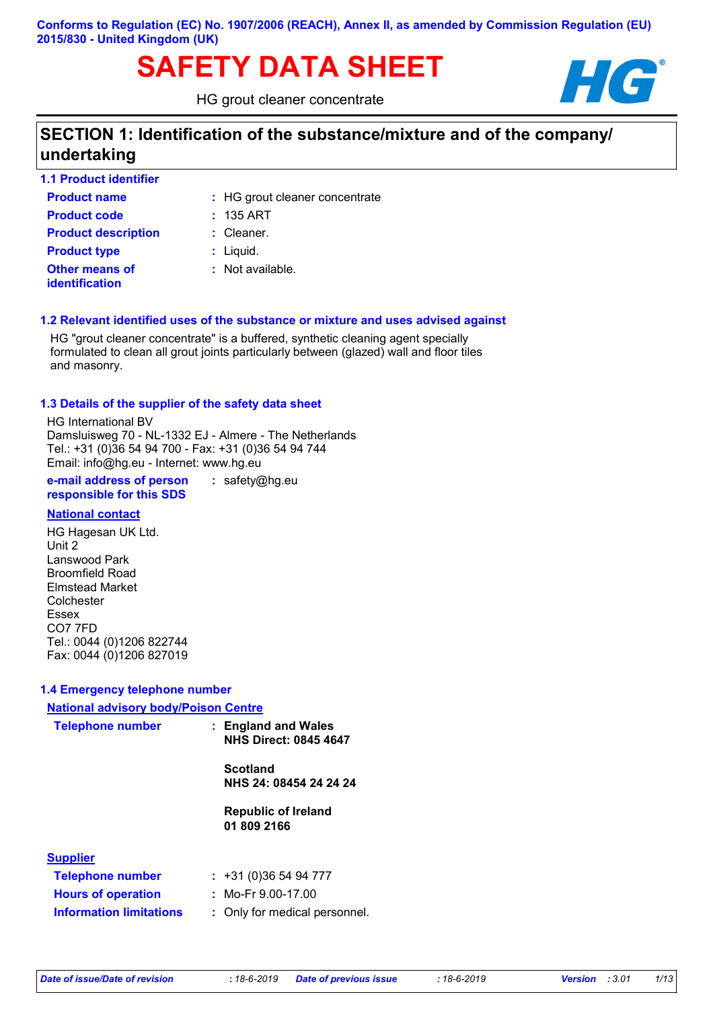# SAFETY DATA SHEET **HG**

HG grout cleaner concentrate



# **SECTION 1: Identification of the substance/mixture and of the company/ undertaking**

| <b>1.1 Product identifier</b>                  |                                |
|------------------------------------------------|--------------------------------|
| <b>Product name</b>                            | : HG grout cleaner concentrate |
| <b>Product code</b>                            | $: 135$ ART                    |
| <b>Product description</b>                     | $:$ Cleaner.                   |
| <b>Product type</b>                            | $:$ Liquid.                    |
| <b>Other means of</b><br><b>identification</b> | $:$ Not available.             |

#### **1.2 Relevant identified uses of the substance or mixture and uses advised against**

HG "grout cleaner concentrate" is a buffered, synthetic cleaning agent specially formulated to clean all grout joints particularly between (glazed) wall and floor tiles and masonry.

#### **1.3 Details of the supplier of the safety data sheet**

HG International BV Damsluisweg 70 - NL-1332 EJ - Almere - The Netherlands Tel.: +31 (0)36 54 94 700 - Fax: +31 (0)36 54 94 744 Email: info@hg.eu - Internet: www.hg.eu

**e-mail address of person responsible for this SDS :** safety@hg.eu

#### **National contact**

HG Hagesan UK Ltd. Unit 2 Lanswood Park Broomfield Road Elmstead Market Colchester Essex CO7 7FD Tel.: 0044 (0)1206 822744 Fax: 0044 (0)1206 827019

#### **1.4 Emergency telephone number**

| <b>National advisory body/Poison Centre</b> |                                                     |                                           |  |
|---------------------------------------------|-----------------------------------------------------|-------------------------------------------|--|
| <b>Telephone number</b>                     | : England and Wales<br><b>NHS Direct: 0845 4647</b> |                                           |  |
|                                             |                                                     | <b>Scotland</b><br>NHS 24: 08454 24 24 24 |  |
|                                             |                                                     | <b>Republic of Ireland</b><br>01 809 2166 |  |
| <b>Supplier</b>                             |                                                     |                                           |  |
| <b>Telephone number</b>                     |                                                     | : 431(0)365494777                         |  |
| <b>Hours of operation</b>                   |                                                     | : Mo-Fr $9.00$ -17.00                     |  |

| Information limitations |  |
|-------------------------|--|
|                         |  |

Mo-Fr 9.00-17.00

**Information limitations** : Only for medical personnel.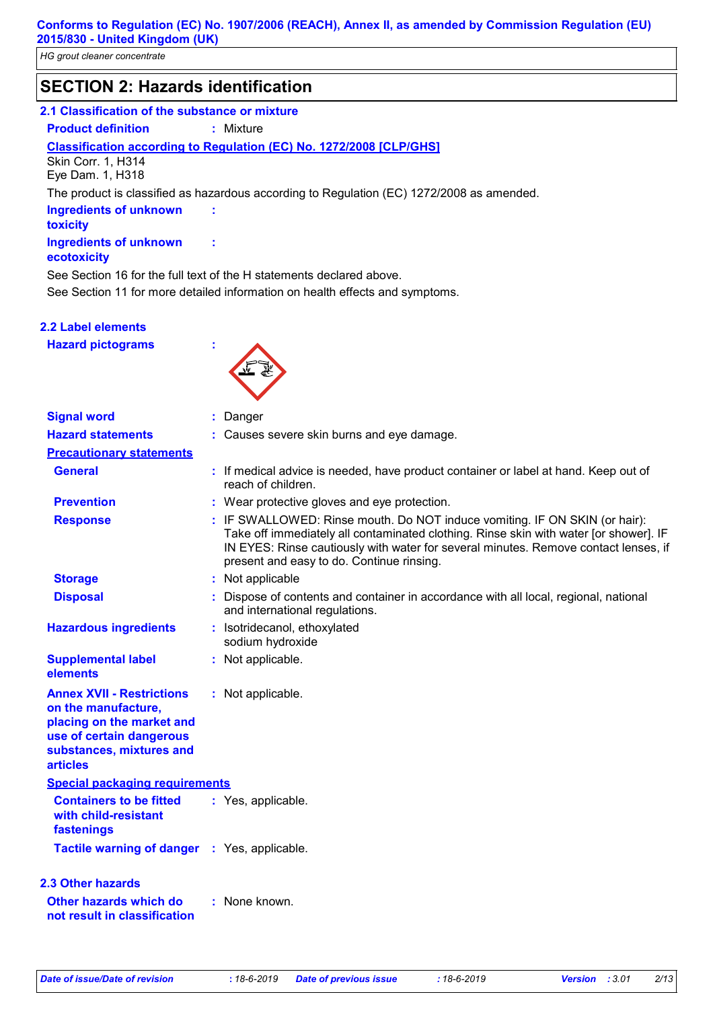# **SECTION 2: Hazards identification**

#### **2.1 Classification of the substance or mixture**

**Product definition :** Mixture

#### **Classification according to Regulation (EC) No. 1272/2008 [CLP/GHS]**

Skin Corr. 1, H314 Eye Dam. 1, H318

The product is classified as hazardous according to Regulation (EC) 1272/2008 as amended.

**Ingredients of unknown toxicity Ingredients of unknown** 

#### **ecotoxicity**

See Section 11 for more detailed information on health effects and symptoms. See Section 16 for the full text of the H statements declared above.

**:**

**:**

**2.2 Label elements**

**Hazard pictograms :**



| <b>Signal word</b>                                                                                                                                              | : Danger                                                                                                                                                                                                                                                                                                |
|-----------------------------------------------------------------------------------------------------------------------------------------------------------------|---------------------------------------------------------------------------------------------------------------------------------------------------------------------------------------------------------------------------------------------------------------------------------------------------------|
| <b>Hazard statements</b>                                                                                                                                        | : Causes severe skin burns and eye damage.                                                                                                                                                                                                                                                              |
| <b>Precautionary statements</b>                                                                                                                                 |                                                                                                                                                                                                                                                                                                         |
| <b>General</b>                                                                                                                                                  | : If medical advice is needed, have product container or label at hand. Keep out of<br>reach of children.                                                                                                                                                                                               |
| <b>Prevention</b>                                                                                                                                               | : Wear protective gloves and eye protection.                                                                                                                                                                                                                                                            |
| <b>Response</b>                                                                                                                                                 | : IF SWALLOWED: Rinse mouth. Do NOT induce vomiting. IF ON SKIN (or hair):<br>Take off immediately all contaminated clothing. Rinse skin with water [or shower]. IF<br>IN EYES: Rinse cautiously with water for several minutes. Remove contact lenses, if<br>present and easy to do. Continue rinsing. |
| <b>Storage</b>                                                                                                                                                  | : Not applicable                                                                                                                                                                                                                                                                                        |
| <b>Disposal</b>                                                                                                                                                 | : Dispose of contents and container in accordance with all local, regional, national<br>and international regulations.                                                                                                                                                                                  |
| <b>Hazardous ingredients</b>                                                                                                                                    | : Isotridecanol, ethoxylated<br>sodium hydroxide                                                                                                                                                                                                                                                        |
| <b>Supplemental label</b><br>elements                                                                                                                           | : Not applicable.                                                                                                                                                                                                                                                                                       |
| <b>Annex XVII - Restrictions</b><br>on the manufacture,<br>placing on the market and<br>use of certain dangerous<br>substances, mixtures and<br><b>articles</b> | : Not applicable.                                                                                                                                                                                                                                                                                       |
| <b>Special packaging requirements</b>                                                                                                                           |                                                                                                                                                                                                                                                                                                         |
| <b>Containers to be fitted</b><br>with child-resistant<br>fastenings                                                                                            | : Yes, applicable.                                                                                                                                                                                                                                                                                      |
| <b>Tactile warning of danger : Yes, applicable.</b>                                                                                                             |                                                                                                                                                                                                                                                                                                         |
| 2.3 Other hazards                                                                                                                                               |                                                                                                                                                                                                                                                                                                         |
| <b>Other hazards which do</b><br>not result in classification                                                                                                   | : None known.                                                                                                                                                                                                                                                                                           |
|                                                                                                                                                                 |                                                                                                                                                                                                                                                                                                         |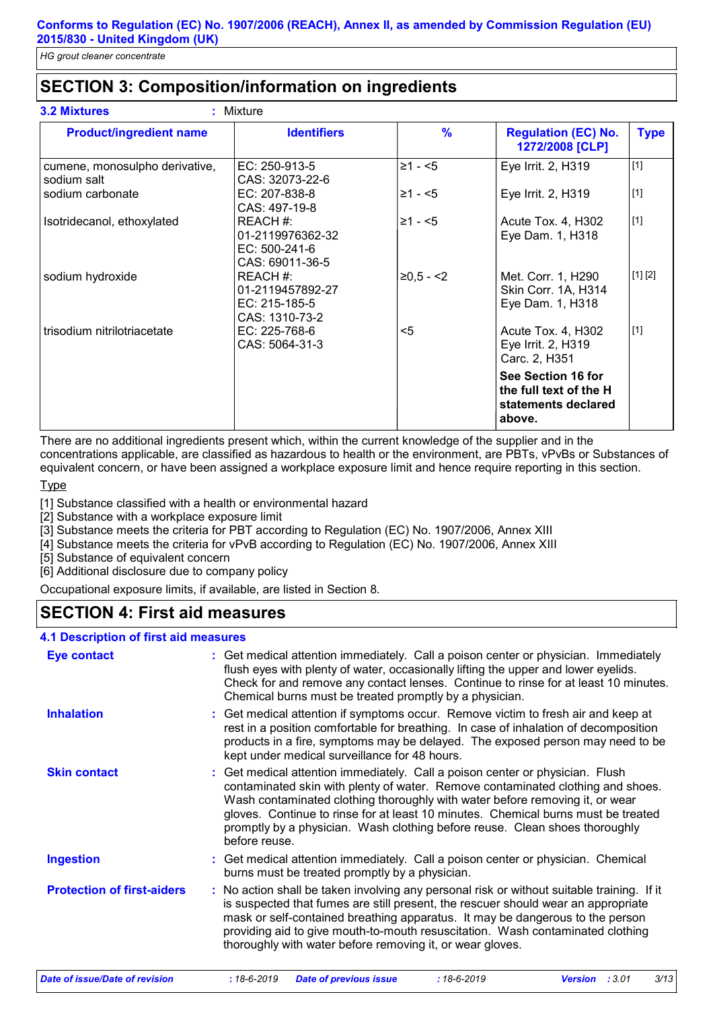# **SECTION 3: Composition/information on ingredients**

| <b>Product/ingredient name</b>                | <b>Identifiers</b>                                                | $\frac{9}{6}$ | <b>Regulation (EC) No.</b><br>1272/2008 [CLP]                                 | <b>Type</b> |
|-----------------------------------------------|-------------------------------------------------------------------|---------------|-------------------------------------------------------------------------------|-------------|
| cumene, monosulpho derivative,<br>sodium salt | EC: 250-913-5<br>CAS: 32073-22-6                                  | $≥1 - 5$      | Eye Irrit. 2, H319                                                            | $[1]$       |
| sodium carbonate                              | EC: 207-838-8<br>CAS: 497-19-8                                    | $≥1 - 5$      | Eye Irrit. 2, H319                                                            | $[1]$       |
| Isotridecanol, ethoxylated                    | REACH#:<br>01-2119976362-32<br>$EC: 500-241-6$<br>CAS: 69011-36-5 | $≥1 - 5$      | Acute Tox. 4, H302<br>Eye Dam. 1, H318                                        | $[1]$       |
| sodium hydroxide                              | REACH#:<br>01-2119457892-27<br>EC: 215-185-5<br>CAS: 1310-73-2    | $≥0,5 - <2$   | Met. Corr. 1, H290<br>Skin Corr. 1A, H314<br>Eye Dam. 1, H318                 | [1] [2]     |
| trisodium nitrilotriacetate                   | EC: 225-768-6<br>CAS: 5064-31-3                                   | $5$           | Acute Tox. 4, H302<br>Eye Irrit. 2, H319<br>Carc. 2, H351                     | $[1]$       |
|                                               |                                                                   |               | See Section 16 for<br>the full text of the H<br>statements declared<br>above. |             |

There are no additional ingredients present which, within the current knowledge of the supplier and in the concentrations applicable, are classified as hazardous to health or the environment, are PBTs, vPvBs or Substances of equivalent concern, or have been assigned a workplace exposure limit and hence require reporting in this section.

#### Type

[1] Substance classified with a health or environmental hazard

[2] Substance with a workplace exposure limit

[3] Substance meets the criteria for PBT according to Regulation (EC) No. 1907/2006, Annex XIII

[4] Substance meets the criteria for vPvB according to Regulation (EC) No. 1907/2006, Annex XIII

[5] Substance of equivalent concern

[6] Additional disclosure due to company policy

Occupational exposure limits, if available, are listed in Section 8.

# **SECTION 4: First aid measures**

#### **4.1 Description of first aid measures**

| <b>Eye contact</b>                | : Get medical attention immediately. Call a poison center or physician. Immediately<br>flush eyes with plenty of water, occasionally lifting the upper and lower eyelids.<br>Check for and remove any contact lenses. Continue to rinse for at least 10 minutes.<br>Chemical burns must be treated promptly by a physician.                                                                                                           |
|-----------------------------------|---------------------------------------------------------------------------------------------------------------------------------------------------------------------------------------------------------------------------------------------------------------------------------------------------------------------------------------------------------------------------------------------------------------------------------------|
| <b>Inhalation</b>                 | : Get medical attention if symptoms occur. Remove victim to fresh air and keep at<br>rest in a position comfortable for breathing. In case of inhalation of decomposition<br>products in a fire, symptoms may be delayed. The exposed person may need to be<br>kept under medical surveillance for 48 hours.                                                                                                                          |
| <b>Skin contact</b>               | : Get medical attention immediately. Call a poison center or physician. Flush<br>contaminated skin with plenty of water. Remove contaminated clothing and shoes.<br>Wash contaminated clothing thoroughly with water before removing it, or wear<br>gloves. Continue to rinse for at least 10 minutes. Chemical burns must be treated<br>promptly by a physician. Wash clothing before reuse. Clean shoes thoroughly<br>before reuse. |
| <b>Ingestion</b>                  | : Get medical attention immediately. Call a poison center or physician. Chemical<br>burns must be treated promptly by a physician.                                                                                                                                                                                                                                                                                                    |
| <b>Protection of first-aiders</b> | : No action shall be taken involving any personal risk or without suitable training. If it<br>is suspected that fumes are still present, the rescuer should wear an appropriate<br>mask or self-contained breathing apparatus. It may be dangerous to the person<br>providing aid to give mouth-to-mouth resuscitation. Wash contaminated clothing<br>thoroughly with water before removing it, or wear gloves.                       |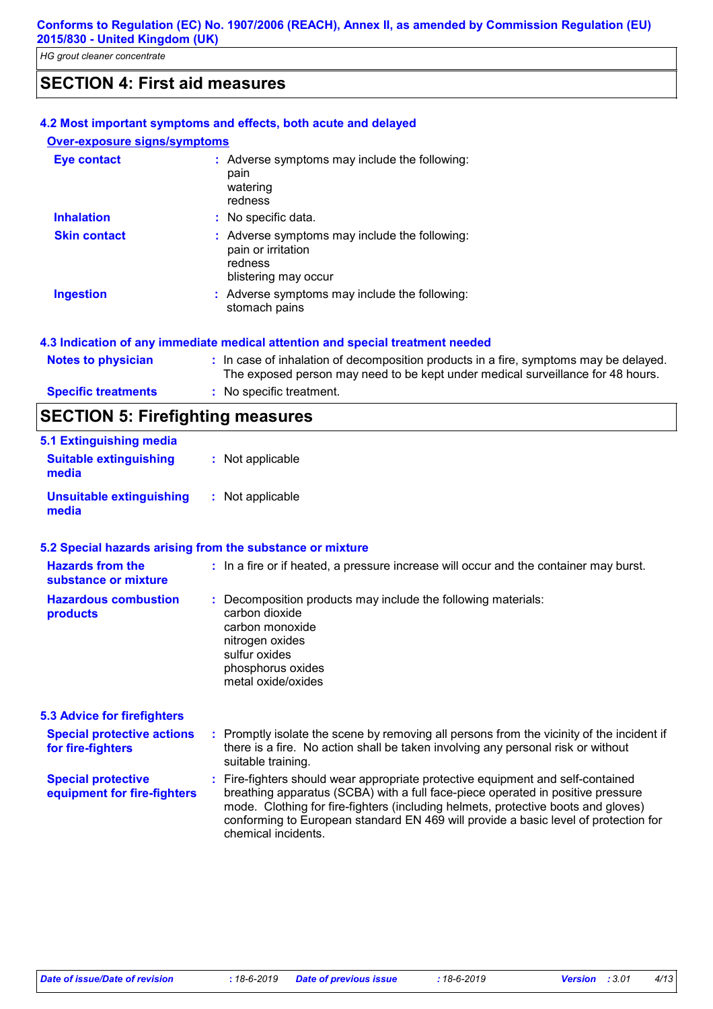# **SECTION 4: First aid measures**

#### **4.2 Most important symptoms and effects, both acute and delayed**

#### **Over-exposure signs/symptoms**

| <b>Eye contact</b>  | : Adverse symptoms may include the following:<br>pain<br>watering<br>redness                           |
|---------------------|--------------------------------------------------------------------------------------------------------|
| <b>Inhalation</b>   | : No specific data.                                                                                    |
| <b>Skin contact</b> | : Adverse symptoms may include the following:<br>pain or irritation<br>redness<br>blistering may occur |
| <b>Ingestion</b>    | : Adverse symptoms may include the following:<br>stomach pains                                         |

#### **4.3 Indication of any immediate medical attention and special treatment needed**

| $A = A = (A + 1) = (B + 1)$ |                                                                                                                                                                          |
|-----------------------------|--------------------------------------------------------------------------------------------------------------------------------------------------------------------------|
| <b>Specific treatments</b>  | : No specific treatment.                                                                                                                                                 |
| Notes to physician          | : In case of inhalation of decomposition products in a fire, symptoms may be delayed.<br>The exposed person may need to be kept under medical surveillance for 48 hours. |

# **SECTION 5: Firefighting measures**

| 5.1 Extinguishing media                |                  |
|----------------------------------------|------------------|
| <b>Suitable extinguishing</b><br>media | : Not applicable |
| Unsuitable extinguishing<br>media      | : Not applicable |

#### **5.2 Special hazards arising from the substance or mixture**

| <b>Hazards from the</b><br>substance or mixture          | : In a fire or if heated, a pressure increase will occur and the container may burst.                                                                                                                                                                                                                                                                                 |
|----------------------------------------------------------|-----------------------------------------------------------------------------------------------------------------------------------------------------------------------------------------------------------------------------------------------------------------------------------------------------------------------------------------------------------------------|
| <b>Hazardous combustion</b><br>products                  | : Decomposition products may include the following materials:<br>carbon dioxide<br>carbon monoxide<br>nitrogen oxides<br>sulfur oxides<br>phosphorus oxides<br>metal oxide/oxides                                                                                                                                                                                     |
| <b>5.3 Advice for firefighters</b>                       |                                                                                                                                                                                                                                                                                                                                                                       |
| <b>Special protective actions</b><br>for fire-fighters   | : Promptly isolate the scene by removing all persons from the vicinity of the incident if<br>there is a fire. No action shall be taken involving any personal risk or without<br>suitable training.                                                                                                                                                                   |
| <b>Special protective</b><br>equipment for fire-fighters | : Fire-fighters should wear appropriate protective equipment and self-contained<br>breathing apparatus (SCBA) with a full face-piece operated in positive pressure<br>mode. Clothing for fire-fighters (including helmets, protective boots and gloves)<br>conforming to European standard EN 469 will provide a basic level of protection for<br>chemical incidents. |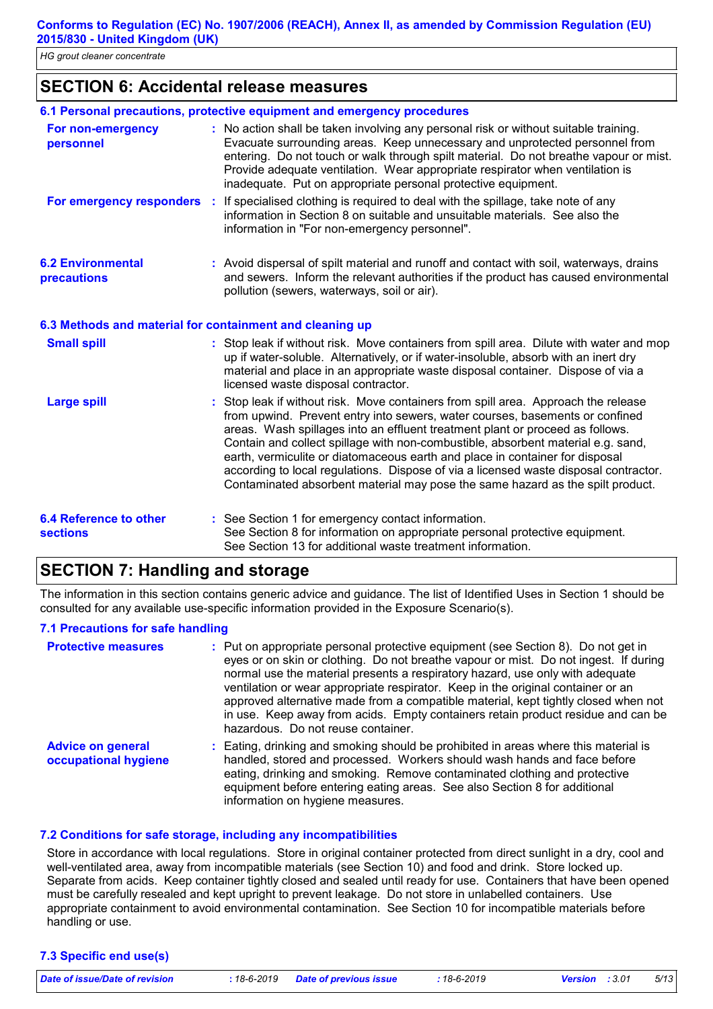*HG grout cleaner concentrate*

### **SECTION 6: Accidental release measures**

|                                                          | 6.1 Personal precautions, protective equipment and emergency procedures                                                                                                                                                                                                                                                                                                                                                                                                                                                                                                                           |
|----------------------------------------------------------|---------------------------------------------------------------------------------------------------------------------------------------------------------------------------------------------------------------------------------------------------------------------------------------------------------------------------------------------------------------------------------------------------------------------------------------------------------------------------------------------------------------------------------------------------------------------------------------------------|
| For non-emergency<br>personnel                           | : No action shall be taken involving any personal risk or without suitable training.<br>Evacuate surrounding areas. Keep unnecessary and unprotected personnel from<br>entering. Do not touch or walk through spilt material. Do not breathe vapour or mist.<br>Provide adequate ventilation. Wear appropriate respirator when ventilation is<br>inadequate. Put on appropriate personal protective equipment.                                                                                                                                                                                    |
| For emergency responders                                 | : If specialised clothing is required to deal with the spillage, take note of any<br>information in Section 8 on suitable and unsuitable materials. See also the<br>information in "For non-emergency personnel".                                                                                                                                                                                                                                                                                                                                                                                 |
| <b>6.2 Environmental</b><br>precautions                  | : Avoid dispersal of spilt material and runoff and contact with soil, waterways, drains<br>and sewers. Inform the relevant authorities if the product has caused environmental<br>pollution (sewers, waterways, soil or air).                                                                                                                                                                                                                                                                                                                                                                     |
| 6.3 Methods and material for containment and cleaning up |                                                                                                                                                                                                                                                                                                                                                                                                                                                                                                                                                                                                   |
| <b>Small spill</b>                                       | : Stop leak if without risk. Move containers from spill area. Dilute with water and mop<br>up if water-soluble. Alternatively, or if water-insoluble, absorb with an inert dry<br>material and place in an appropriate waste disposal container. Dispose of via a<br>licensed waste disposal contractor.                                                                                                                                                                                                                                                                                          |
| <b>Large spill</b>                                       | : Stop leak if without risk. Move containers from spill area. Approach the release<br>from upwind. Prevent entry into sewers, water courses, basements or confined<br>areas. Wash spillages into an effluent treatment plant or proceed as follows.<br>Contain and collect spillage with non-combustible, absorbent material e.g. sand,<br>earth, vermiculite or diatomaceous earth and place in container for disposal<br>according to local regulations. Dispose of via a licensed waste disposal contractor.<br>Contaminated absorbent material may pose the same hazard as the spilt product. |
| <b>6.4 Reference to other</b><br><b>sections</b>         | : See Section 1 for emergency contact information.<br>See Section 8 for information on appropriate personal protective equipment.<br>See Section 13 for additional waste treatment information.                                                                                                                                                                                                                                                                                                                                                                                                   |

### **SECTION 7: Handling and storage**

The information in this section contains generic advice and guidance. The list of Identified Uses in Section 1 should be consulted for any available use-specific information provided in the Exposure Scenario(s).

#### **7.1 Precautions for safe handling**

| <b>Protective measures</b>                       | : Put on appropriate personal protective equipment (see Section 8). Do not get in<br>eyes or on skin or clothing. Do not breathe vapour or mist. Do not ingest. If during<br>normal use the material presents a respiratory hazard, use only with adequate<br>ventilation or wear appropriate respirator. Keep in the original container or an<br>approved alternative made from a compatible material, kept tightly closed when not<br>in use. Keep away from acids. Empty containers retain product residue and can be<br>hazardous. Do not reuse container. |
|--------------------------------------------------|----------------------------------------------------------------------------------------------------------------------------------------------------------------------------------------------------------------------------------------------------------------------------------------------------------------------------------------------------------------------------------------------------------------------------------------------------------------------------------------------------------------------------------------------------------------|
| <b>Advice on general</b><br>occupational hygiene | : Eating, drinking and smoking should be prohibited in areas where this material is<br>handled, stored and processed. Workers should wash hands and face before<br>eating, drinking and smoking. Remove contaminated clothing and protective<br>equipment before entering eating areas. See also Section 8 for additional<br>information on hygiene measures.                                                                                                                                                                                                  |

#### **7.2 Conditions for safe storage, including any incompatibilities**

Store in accordance with local regulations. Store in original container protected from direct sunlight in a dry, cool and well-ventilated area, away from incompatible materials (see Section 10) and food and drink. Store locked up. Separate from acids. Keep container tightly closed and sealed until ready for use. Containers that have been opened must be carefully resealed and kept upright to prevent leakage. Do not store in unlabelled containers. Use appropriate containment to avoid environmental contamination. See Section 10 for incompatible materials before handling or use.

#### **7.3 Specific end use(s)**

*Date of issue/Date of revision* **:** *18-6-2019 Date of previous issue : 18-6-2019 Version : 3.01 5/13*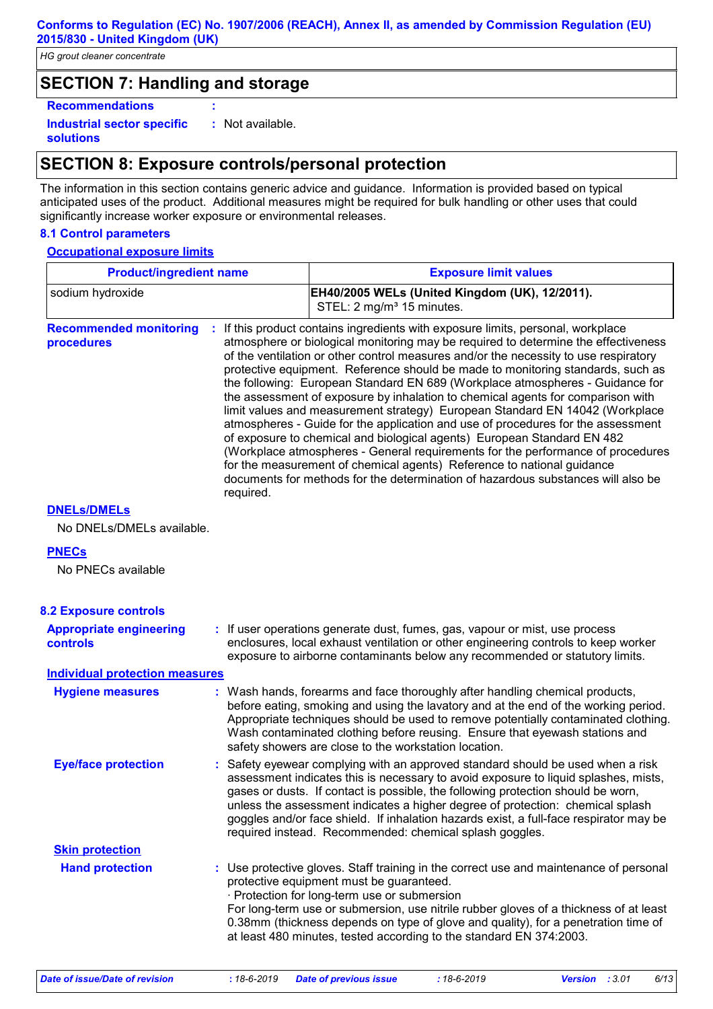*HG grout cleaner concentrate*

### **SECTION 7: Handling and storage**

**Recommendations :**

**Industrial sector specific : solutions** : Not available.

### **SECTION 8: Exposure controls/personal protection**

The information in this section contains generic advice and guidance. Information is provided based on typical anticipated uses of the product. Additional measures might be required for bulk handling or other uses that could significantly increase worker exposure or environmental releases.

#### **8.1 Control parameters**

#### **Occupational exposure limits**

| <b>Product/ingredient name</b>              |           | <b>Exposure limit values</b>                                                                                                                                                                                                                                                                                                                                                                                                                                                                                                                                                                                                                                                                                                                                                                                                                                                                                                                                                                                          |  |  |
|---------------------------------------------|-----------|-----------------------------------------------------------------------------------------------------------------------------------------------------------------------------------------------------------------------------------------------------------------------------------------------------------------------------------------------------------------------------------------------------------------------------------------------------------------------------------------------------------------------------------------------------------------------------------------------------------------------------------------------------------------------------------------------------------------------------------------------------------------------------------------------------------------------------------------------------------------------------------------------------------------------------------------------------------------------------------------------------------------------|--|--|
| sodium hydroxide                            |           | EH40/2005 WELs (United Kingdom (UK), 12/2011).<br>STEL: 2 mg/m <sup>3</sup> 15 minutes.                                                                                                                                                                                                                                                                                                                                                                                                                                                                                                                                                                                                                                                                                                                                                                                                                                                                                                                               |  |  |
| <b>Recommended monitoring</b><br>procedures | required. | : If this product contains ingredients with exposure limits, personal, workplace<br>atmosphere or biological monitoring may be required to determine the effectiveness<br>of the ventilation or other control measures and/or the necessity to use respiratory<br>protective equipment. Reference should be made to monitoring standards, such as<br>the following: European Standard EN 689 (Workplace atmospheres - Guidance for<br>the assessment of exposure by inhalation to chemical agents for comparison with<br>limit values and measurement strategy) European Standard EN 14042 (Workplace<br>atmospheres - Guide for the application and use of procedures for the assessment<br>of exposure to chemical and biological agents) European Standard EN 482<br>(Workplace atmospheres - General requirements for the performance of procedures<br>for the measurement of chemical agents) Reference to national guidance<br>documents for methods for the determination of hazardous substances will also be |  |  |
| <b>DNELS/DMELS</b>                          |           |                                                                                                                                                                                                                                                                                                                                                                                                                                                                                                                                                                                                                                                                                                                                                                                                                                                                                                                                                                                                                       |  |  |
| No DNELs/DMELs available.                   |           |                                                                                                                                                                                                                                                                                                                                                                                                                                                                                                                                                                                                                                                                                                                                                                                                                                                                                                                                                                                                                       |  |  |
| <b>PNECs</b>                                |           |                                                                                                                                                                                                                                                                                                                                                                                                                                                                                                                                                                                                                                                                                                                                                                                                                                                                                                                                                                                                                       |  |  |
| No PNECs available                          |           |                                                                                                                                                                                                                                                                                                                                                                                                                                                                                                                                                                                                                                                                                                                                                                                                                                                                                                                                                                                                                       |  |  |
| <b>8.2 Exposure controls</b>                |           |                                                                                                                                                                                                                                                                                                                                                                                                                                                                                                                                                                                                                                                                                                                                                                                                                                                                                                                                                                                                                       |  |  |
| <b>Appropriate engineering</b><br>controls  |           | : If user operations generate dust, fumes, gas, vapour or mist, use process<br>enclosures, local exhaust ventilation or other engineering controls to keep worker<br>exposure to airborne contaminants below any recommended or statutory limits.                                                                                                                                                                                                                                                                                                                                                                                                                                                                                                                                                                                                                                                                                                                                                                     |  |  |
| <b>Individual protection measures</b>       |           |                                                                                                                                                                                                                                                                                                                                                                                                                                                                                                                                                                                                                                                                                                                                                                                                                                                                                                                                                                                                                       |  |  |
| <b>Hygiene measures</b>                     |           | : Wash hands, forearms and face thoroughly after handling chemical products,<br>before eating, smoking and using the lavatory and at the end of the working period.<br>Appropriate techniques should be used to remove potentially contaminated clothing.<br>Wash contaminated clothing before reusing. Ensure that eyewash stations and<br>safety showers are close to the workstation location.                                                                                                                                                                                                                                                                                                                                                                                                                                                                                                                                                                                                                     |  |  |
| <b>Eye/face protection</b>                  |           | : Safety eyewear complying with an approved standard should be used when a risk<br>assessment indicates this is necessary to avoid exposure to liquid splashes, mists,<br>gases or dusts. If contact is possible, the following protection should be worn,<br>unless the assessment indicates a higher degree of protection: chemical splash<br>goggles and/or face shield. If inhalation hazards exist, a full-face respirator may be<br>required instead. Recommended: chemical splash goggles.                                                                                                                                                                                                                                                                                                                                                                                                                                                                                                                     |  |  |
| <b>Skin protection</b>                      |           |                                                                                                                                                                                                                                                                                                                                                                                                                                                                                                                                                                                                                                                                                                                                                                                                                                                                                                                                                                                                                       |  |  |
| <b>Hand protection</b>                      |           | : Use protective gloves. Staff training in the correct use and maintenance of personal<br>protective equipment must be guaranteed.<br>· Protection for long-term use or submersion<br>For long-term use or submersion, use nitrile rubber gloves of a thickness of at least<br>0.38mm (thickness depends on type of glove and quality), for a penetration time of<br>at least 480 minutes, tested according to the standard EN 374:2003.                                                                                                                                                                                                                                                                                                                                                                                                                                                                                                                                                                              |  |  |

*Date of issue/Date of revision* **:** *18-6-2019 Date of previous issue : 18-6-2019 Version : 3.01 6/13*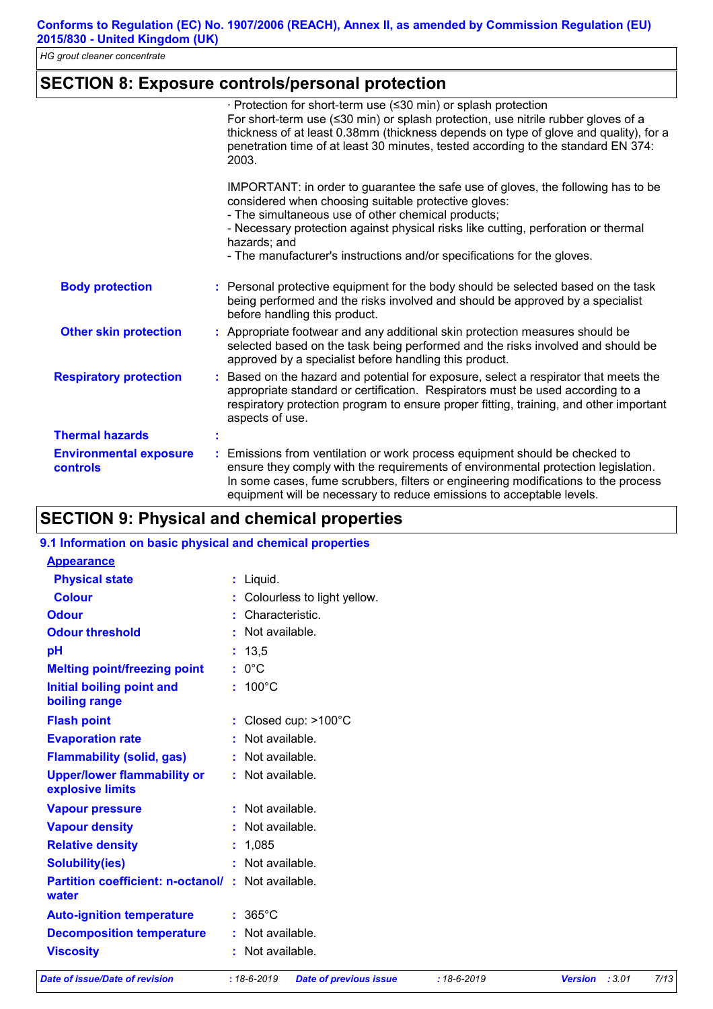# **SECTION 8: Exposure controls/personal protection**

|                                           | · Protection for short-term use (≤30 min) or splash protection<br>For short-term use $(\leq 30 \text{ min})$ or splash protection, use nitrile rubber gloves of a<br>thickness of at least 0.38mm (thickness depends on type of glove and quality), for a<br>penetration time of at least 30 minutes, tested according to the standard EN 374:<br>2003.                         |
|-------------------------------------------|---------------------------------------------------------------------------------------------------------------------------------------------------------------------------------------------------------------------------------------------------------------------------------------------------------------------------------------------------------------------------------|
|                                           | IMPORTANT: in order to guarantee the safe use of gloves, the following has to be<br>considered when choosing suitable protective gloves:<br>- The simultaneous use of other chemical products;<br>- Necessary protection against physical risks like cutting, perforation or thermal<br>hazards; and<br>- The manufacturer's instructions and/or specifications for the gloves. |
| <b>Body protection</b>                    | : Personal protective equipment for the body should be selected based on the task<br>being performed and the risks involved and should be approved by a specialist<br>before handling this product.                                                                                                                                                                             |
| <b>Other skin protection</b>              | : Appropriate footwear and any additional skin protection measures should be<br>selected based on the task being performed and the risks involved and should be<br>approved by a specialist before handling this product.                                                                                                                                                       |
| <b>Respiratory protection</b>             | Based on the hazard and potential for exposure, select a respirator that meets the<br>appropriate standard or certification. Respirators must be used according to a<br>respiratory protection program to ensure proper fitting, training, and other important<br>aspects of use.                                                                                               |
| <b>Thermal hazards</b>                    |                                                                                                                                                                                                                                                                                                                                                                                 |
| <b>Environmental exposure</b><br>controls | Emissions from ventilation or work process equipment should be checked to<br>ensure they comply with the requirements of environmental protection legislation.<br>In some cases, fume scrubbers, filters or engineering modifications to the process<br>equipment will be necessary to reduce emissions to acceptable levels.                                                   |

# **SECTION 9: Physical and chemical properties**

| 9.1 Information on basic physical and chemical properties         |                                |
|-------------------------------------------------------------------|--------------------------------|
| <b>Appearance</b>                                                 |                                |
| <b>Physical state</b>                                             | $:$ Liquid.                    |
| <b>Colour</b>                                                     | : Colourless to light yellow.  |
| <b>Odour</b>                                                      | : Characteristic.              |
| <b>Odour threshold</b>                                            | : Not available.               |
| pH                                                                | : 13,5                         |
| <b>Melting point/freezing point</b>                               | $: 0^{\circ}C$                 |
| <b>Initial boiling point and</b><br>boiling range                 | $: 100^{\circ}$ C              |
| <b>Flash point</b>                                                | : Closed cup: $>100^{\circ}$ C |
| <b>Evaporation rate</b>                                           | : Not available.               |
| <b>Flammability (solid, gas)</b>                                  | : Not available.               |
| <b>Upper/lower flammability or</b><br>explosive limits            | : Not available.               |
| <b>Vapour pressure</b>                                            | : Not available.               |
| <b>Vapour density</b>                                             | : Not available.               |
| <b>Relative density</b>                                           | : 1,085                        |
| <b>Solubility(ies)</b>                                            | : Not available.               |
| <b>Partition coefficient: n-octanol/: Not available.</b><br>water |                                |
| <b>Auto-ignition temperature</b>                                  | $: 365^{\circ}$ C              |
| <b>Decomposition temperature</b>                                  | : Not available.               |
| <b>Viscosity</b>                                                  | : Not available.               |

*Date of issue/Date of revision* **:** *18-6-2019 Date of previous issue : 18-6-2019 Version : 3.01 7/13*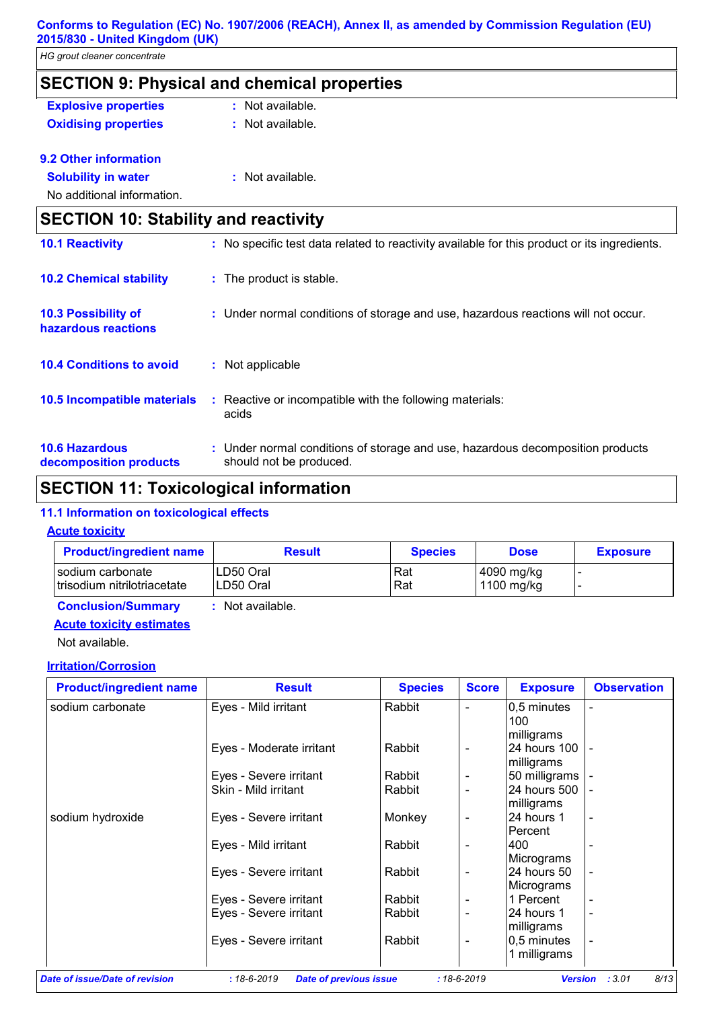| HG grout cleaner concentrate                       |                                                                                                           |  |  |  |
|----------------------------------------------------|-----------------------------------------------------------------------------------------------------------|--|--|--|
| <b>SECTION 9: Physical and chemical properties</b> |                                                                                                           |  |  |  |
| <b>Explosive properties</b>                        | : Not available.                                                                                          |  |  |  |
| <b>Oxidising properties</b>                        | : Not available.                                                                                          |  |  |  |
| 9.2 Other information                              |                                                                                                           |  |  |  |
| <b>Solubility in water</b>                         | : Not available.                                                                                          |  |  |  |
| No additional information.                         |                                                                                                           |  |  |  |
| <b>SECTION 10: Stability and reactivity</b>        |                                                                                                           |  |  |  |
| <b>10.1 Reactivity</b>                             | : No specific test data related to reactivity available for this product or its ingredients.              |  |  |  |
| <b>10.2 Chemical stability</b>                     | : The product is stable.                                                                                  |  |  |  |
| <b>10.3 Possibility of</b><br>hazardous reactions  | : Under normal conditions of storage and use, hazardous reactions will not occur.                         |  |  |  |
| <b>10.4 Conditions to avoid</b>                    | : Not applicable                                                                                          |  |  |  |
| 10.5 Incompatible materials                        | : Reactive or incompatible with the following materials:<br>acids                                         |  |  |  |
| <b>10.6 Hazardous</b><br>decomposition products    | : Under normal conditions of storage and use, hazardous decomposition products<br>should not be produced. |  |  |  |

# **SECTION 11: Toxicological information**

### **11.1 Information on toxicological effects**

#### **Acute toxicity**

**decomposition products**

| <b>Product/ingredient name</b>                  | <b>Result</b>           | <b>Species</b> | <b>Dose</b>              | <b>Exposure</b> |
|-------------------------------------------------|-------------------------|----------------|--------------------------|-----------------|
| sodium carbonate<br>trisodium nitrilotriacetate | ILD50 Oral<br>LD50 Oral | Rat<br>Rat     | 4090 mg/kg<br>1100 mg/kg |                 |
| <b>Conclusion/Summary</b>                       | : Not available.        |                |                          |                 |

# **Acute toxicity estimates**

Not available.

### **Irritation/Corrosion**

| <b>Product/ingredient name</b> | <b>Result</b>            | <b>Species</b> | <b>Score</b>                 | <b>Exposure</b>                          | <b>Observation</b> |
|--------------------------------|--------------------------|----------------|------------------------------|------------------------------------------|--------------------|
| sodium carbonate               | Eyes - Mild irritant     | Rabbit         | -                            | 0,5 minutes<br>100                       |                    |
|                                | Eyes - Moderate irritant | Rabbit         | $\overline{\phantom{a}}$     | milligrams<br>24 hours 100<br>milligrams |                    |
|                                | Eyes - Severe irritant   | Rabbit         | -                            | 50 milligrams                            |                    |
|                                | Skin - Mild irritant     | Rabbit         | $\qquad \qquad \blacksquare$ | 24 hours 500<br>milligrams               |                    |
| sodium hydroxide               | Eyes - Severe irritant   | Monkey         | -                            | 24 hours 1<br>Percent                    |                    |
|                                | Eyes - Mild irritant     | Rabbit         | $\qquad \qquad \blacksquare$ | 400<br>Micrograms                        |                    |
|                                | Eyes - Severe irritant   | Rabbit         | $\qquad \qquad \blacksquare$ | 24 hours 50<br>Micrograms                |                    |
|                                | Eyes - Severe irritant   | Rabbit         | -                            | 1 Percent                                |                    |
|                                | Eyes - Severe irritant   | Rabbit         | $\qquad \qquad \blacksquare$ | 24 hours 1<br>milligrams                 |                    |
|                                | Eyes - Severe irritant   | Rabbit         | $\overline{\phantom{a}}$     | 0,5 minutes<br>1 milligrams              |                    |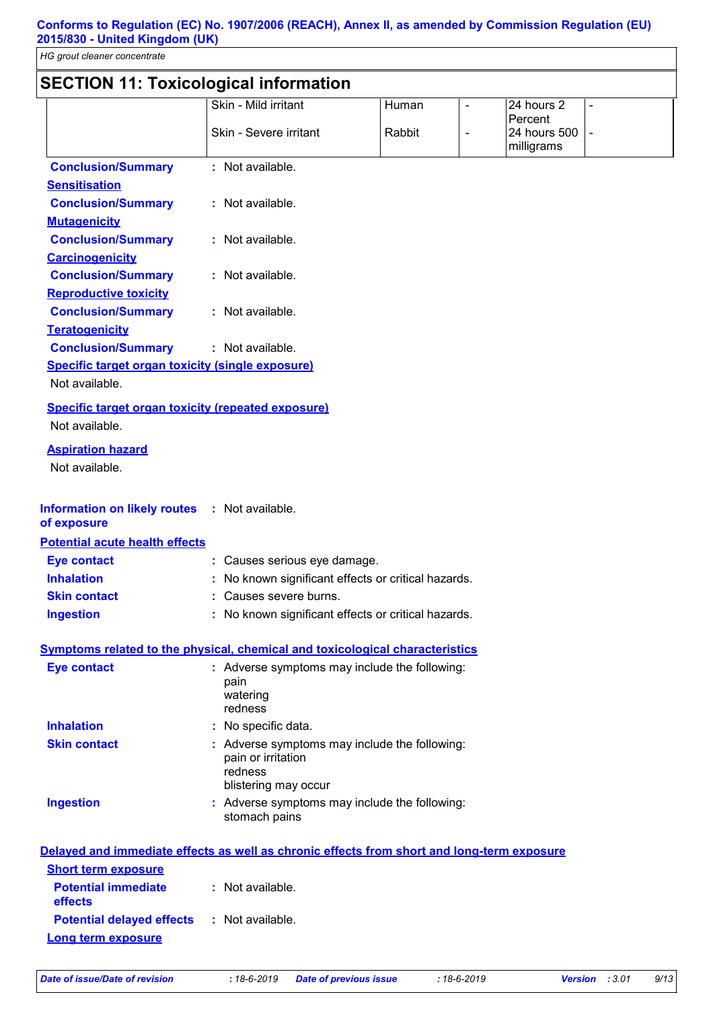# **SECTION 11: Toxicological information**

| <b>JLVIIVII III. TUAILUIUGILAI IIIIUIIIIALIUII</b>        |                                                                                                        |        |                |                                       |                          |
|-----------------------------------------------------------|--------------------------------------------------------------------------------------------------------|--------|----------------|---------------------------------------|--------------------------|
|                                                           | Skin - Mild irritant                                                                                   | Human  |                | 24 hours 2                            | $\overline{\phantom{0}}$ |
|                                                           | Skin - Severe irritant                                                                                 | Rabbit | $\blacksquare$ | Percent<br>24 hours 500<br>milligrams | $\blacksquare$           |
| <b>Conclusion/Summary</b>                                 | : Not available.                                                                                       |        |                |                                       |                          |
| <b>Sensitisation</b>                                      |                                                                                                        |        |                |                                       |                          |
| <b>Conclusion/Summary</b>                                 | : Not available.                                                                                       |        |                |                                       |                          |
| <b>Mutagenicity</b>                                       |                                                                                                        |        |                |                                       |                          |
| <b>Conclusion/Summary</b>                                 | : Not available.                                                                                       |        |                |                                       |                          |
| <b>Carcinogenicity</b>                                    |                                                                                                        |        |                |                                       |                          |
| <b>Conclusion/Summary</b>                                 | : Not available.                                                                                       |        |                |                                       |                          |
| <b>Reproductive toxicity</b>                              |                                                                                                        |        |                |                                       |                          |
| <b>Conclusion/Summary</b>                                 | : Not available.                                                                                       |        |                |                                       |                          |
| <b>Teratogenicity</b>                                     |                                                                                                        |        |                |                                       |                          |
| <b>Conclusion/Summary</b>                                 | : Not available.                                                                                       |        |                |                                       |                          |
| <b>Specific target organ toxicity (single exposure)</b>   |                                                                                                        |        |                |                                       |                          |
| Not available.                                            |                                                                                                        |        |                |                                       |                          |
| <b>Specific target organ toxicity (repeated exposure)</b> |                                                                                                        |        |                |                                       |                          |
| Not available.                                            |                                                                                                        |        |                |                                       |                          |
| <b>Aspiration hazard</b>                                  |                                                                                                        |        |                |                                       |                          |
| Not available.                                            |                                                                                                        |        |                |                                       |                          |
| <b>Information on likely routes</b><br>of exposure        | : Not available.                                                                                       |        |                |                                       |                          |
| <b>Potential acute health effects</b>                     |                                                                                                        |        |                |                                       |                          |
| <b>Eye contact</b>                                        | : Causes serious eye damage.                                                                           |        |                |                                       |                          |
| <b>Inhalation</b>                                         | No known significant effects or critical hazards.                                                      |        |                |                                       |                          |
| <b>Skin contact</b>                                       | Causes severe burns.                                                                                   |        |                |                                       |                          |
| <b>Ingestion</b>                                          | : No known significant effects or critical hazards.                                                    |        |                |                                       |                          |
|                                                           | <b>Symptoms related to the physical, chemical and toxicological characteristics</b>                    |        |                |                                       |                          |
| <b>Eye contact</b>                                        | : Adverse symptoms may include the following:<br>pain<br>watering<br>redness                           |        |                |                                       |                          |
| <b>Inhalation</b>                                         | : No specific data.                                                                                    |        |                |                                       |                          |
| <b>Skin contact</b>                                       | : Adverse symptoms may include the following:<br>pain or irritation<br>redness<br>blistering may occur |        |                |                                       |                          |
| <b>Ingestion</b>                                          | : Adverse symptoms may include the following:<br>stomach pains                                         |        |                |                                       |                          |
| <b>Short term exposure</b>                                | Delayed and immediate effects as well as chronic effects from short and long-term exposure             |        |                |                                       |                          |
| <b>Potential immediate</b><br>effects                     | : Not available.                                                                                       |        |                |                                       |                          |
| <b>Potential delayed effects</b>                          | : Not available.                                                                                       |        |                |                                       |                          |
| Long term exposure                                        |                                                                                                        |        |                |                                       |                          |
|                                                           |                                                                                                        |        |                |                                       |                          |

*Date of issue/Date of revision* **:** *18-6-2019 Date of previous issue : 18-6-2019 Version : 3.01 9/13*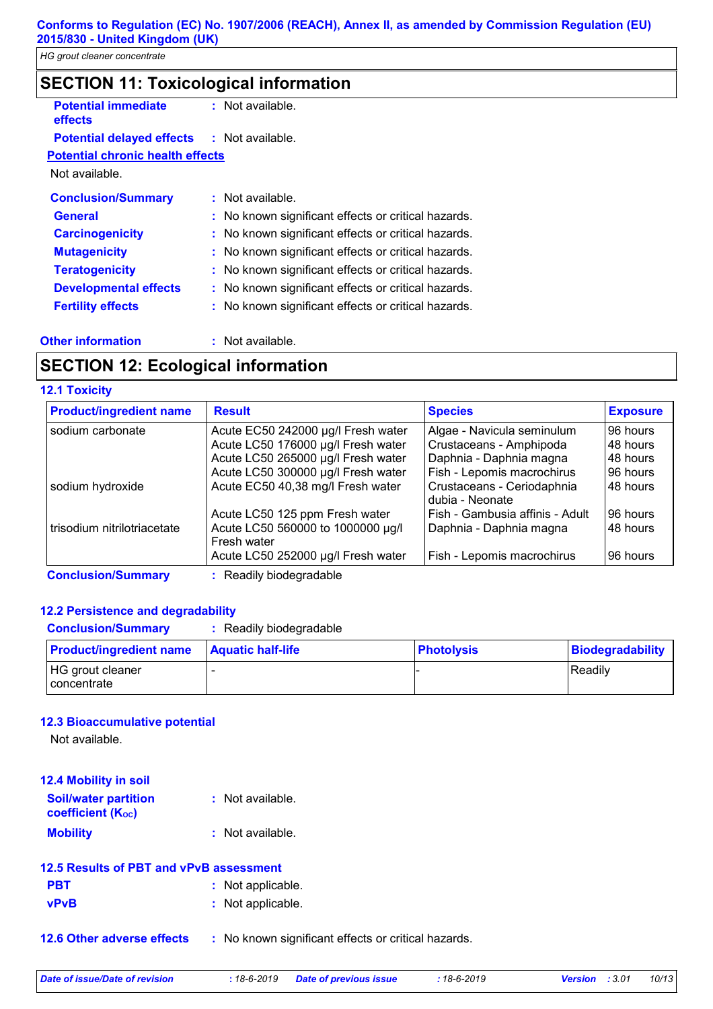| <b>SECTION 11: Toxicological information</b> |                                                     |  |  |
|----------------------------------------------|-----------------------------------------------------|--|--|
| <b>Potential immediate</b><br><b>effects</b> | $:$ Not available.                                  |  |  |
| <b>Potential delayed effects</b>             | : Not available.                                    |  |  |
| <b>Potential chronic health effects</b>      |                                                     |  |  |
| Not available.                               |                                                     |  |  |
| <b>Conclusion/Summary</b>                    | $:$ Not available.                                  |  |  |
| General                                      | : No known significant effects or critical hazards. |  |  |
| <b>Carcinogenicity</b>                       | : No known significant effects or critical hazards. |  |  |
| <b>Mutagenicity</b>                          | : No known significant effects or critical hazards. |  |  |
| <b>Teratogenicity</b>                        | : No known significant effects or critical hazards. |  |  |
| <b>Developmental effects</b>                 | : No known significant effects or critical hazards. |  |  |
| <b>Fertility effects</b>                     | : No known significant effects or critical hazards. |  |  |

#### **Other information :**

: Not available.

# **SECTION 12: Ecological information**

#### **12.1 Toxicity**

| <b>Product/ingredient name</b> | <b>Result</b>                                    | <b>Species</b>                                | <b>Exposure</b> |
|--------------------------------|--------------------------------------------------|-----------------------------------------------|-----------------|
| sodium carbonate               | Acute EC50 242000 µg/l Fresh water               | Algae - Navicula seminulum                    | 96 hours        |
|                                | Acute LC50 176000 µg/l Fresh water               | Crustaceans - Amphipoda                       | 48 hours        |
|                                | Acute LC50 265000 µg/l Fresh water               | Daphnia - Daphnia magna                       | 48 hours        |
|                                | Acute LC50 300000 µg/l Fresh water               | Fish - Lepomis macrochirus                    | 96 hours        |
| sodium hydroxide               | Acute EC50 40,38 mg/l Fresh water                | Crustaceans - Ceriodaphnia<br>dubia - Neonate | 48 hours        |
|                                | Acute LC50 125 ppm Fresh water                   | Fish - Gambusia affinis - Adult               | 96 hours        |
| trisodium nitrilotriacetate    | Acute LC50 560000 to 1000000 µg/l<br>Fresh water | Daphnia - Daphnia magna                       | 48 hours        |
|                                | Acute LC50 252000 µg/l Fresh water               | Fish - Lepomis macrochirus                    | 96 hours        |
| <b>Conclusion/Summary</b>      | Readily biodegradable                            |                                               |                 |

#### **12.2 Persistence and degradability**

| <b>Conclusion/Summary</b> | : Readily biodegradable |
|---------------------------|-------------------------|
|---------------------------|-------------------------|

| <b>Product/ingredient name</b>         | <b>Aquatic half-life</b> | <b>Photolysis</b> | Biodegradability |
|----------------------------------------|--------------------------|-------------------|------------------|
| HG grout cleaner<br><i>concentrate</i> |                          |                   | Readily          |

#### **12.3 Bioaccumulative potential**

Not available.

| <b>12.4 Mobility in soil</b>                            |                  |
|---------------------------------------------------------|------------------|
| <b>Soil/water partition</b><br><b>coefficient (Koc)</b> | : Not available. |
| <b>Mobility</b>                                         | : Not available. |

| 12.5 Results of PBT and vPvB assessment |                   |  |
|-----------------------------------------|-------------------|--|
| <b>PBT</b>                              | : Not applicable. |  |

**vPvB :** Not applicable.

**12.6 Other adverse effects** : No known significant effects or critical hazards.

*Date of issue/Date of revision* **:** *18-6-2019 Date of previous issue : 18-6-2019 Version : 3.01 10/13*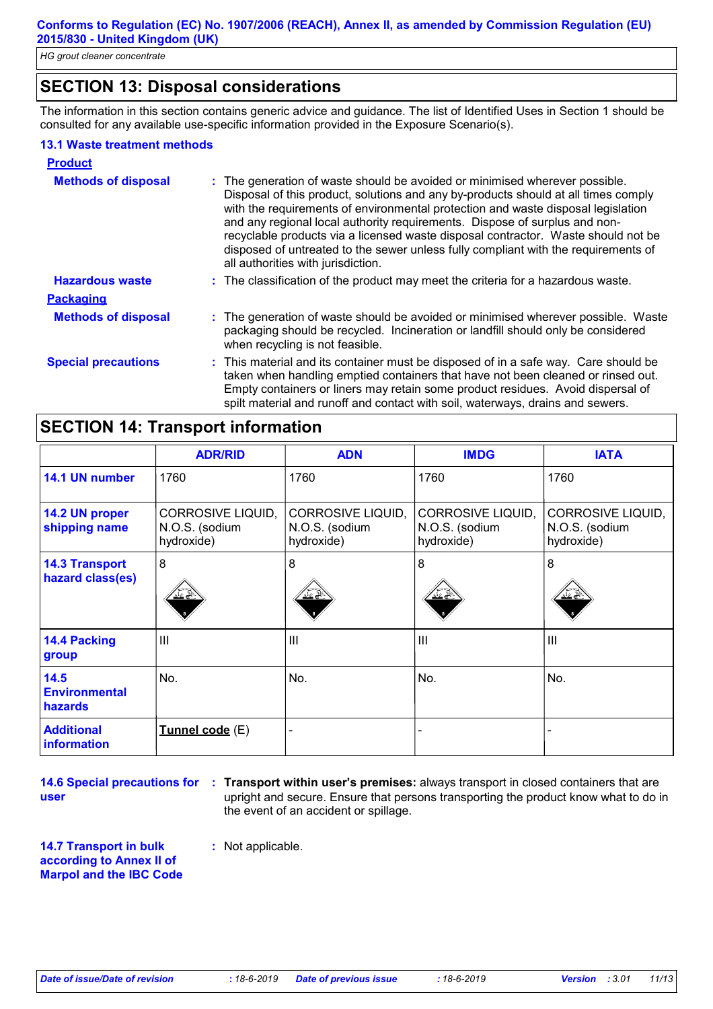# **SECTION 13: Disposal considerations**

The information in this section contains generic advice and guidance. The list of Identified Uses in Section 1 should be consulted for any available use-specific information provided in the Exposure Scenario(s).

#### **13.1 Waste treatment methods**

| <b>Product</b>             |                                                                                                                                                                                                                                                                                                                                                                                                                                                                                                                                                      |
|----------------------------|------------------------------------------------------------------------------------------------------------------------------------------------------------------------------------------------------------------------------------------------------------------------------------------------------------------------------------------------------------------------------------------------------------------------------------------------------------------------------------------------------------------------------------------------------|
| <b>Methods of disposal</b> | : The generation of waste should be avoided or minimised wherever possible.<br>Disposal of this product, solutions and any by-products should at all times comply<br>with the requirements of environmental protection and waste disposal legislation<br>and any regional local authority requirements. Dispose of surplus and non-<br>recyclable products via a licensed waste disposal contractor. Waste should not be<br>disposed of untreated to the sewer unless fully compliant with the requirements of<br>all authorities with jurisdiction. |
| <b>Hazardous waste</b>     | : The classification of the product may meet the criteria for a hazardous waste.                                                                                                                                                                                                                                                                                                                                                                                                                                                                     |
| <b>Packaging</b>           |                                                                                                                                                                                                                                                                                                                                                                                                                                                                                                                                                      |
| <b>Methods of disposal</b> | : The generation of waste should be avoided or minimised wherever possible. Waste<br>packaging should be recycled. Incineration or landfill should only be considered<br>when recycling is not feasible.                                                                                                                                                                                                                                                                                                                                             |
| <b>Special precautions</b> | : This material and its container must be disposed of in a safe way. Care should be<br>taken when handling emptied containers that have not been cleaned or rinsed out.<br>Empty containers or liners may retain some product residues. Avoid dispersal of<br>spilt material and runoff and contact with soil, waterways, drains and sewers.                                                                                                                                                                                                         |

# **SECTION 14: Transport information**

|                                           | <b>ADR/RID</b>                                           | <b>ADN</b>                                        | <b>IMDG</b>                                       | <b>IATA</b>                                              |
|-------------------------------------------|----------------------------------------------------------|---------------------------------------------------|---------------------------------------------------|----------------------------------------------------------|
| 14.1 UN number                            | 1760                                                     | 1760                                              | 1760                                              | 1760                                                     |
| 14.2 UN proper<br>shipping name           | <b>CORROSIVE LIQUID,</b><br>N.O.S. (sodium<br>hydroxide) | CORROSIVE LIQUID,<br>N.O.S. (sodium<br>hydroxide) | CORROSIVE LIQUID,<br>N.O.S. (sodium<br>hydroxide) | <b>CORROSIVE LIQUID,</b><br>N.O.S. (sodium<br>hydroxide) |
| <b>14.3 Transport</b><br>hazard class(es) | 8<br><u>교수</u>                                           | 8                                                 | 8<br>双条                                           | 8                                                        |
| 14.4 Packing<br>group                     | III                                                      | III                                               | III                                               | $\mathbf{III}$                                           |
| 14.5<br><b>Environmental</b><br>hazards   | No.                                                      | No.                                               | No.                                               | No.                                                      |
| <b>Additional</b><br><i>information</i>   | Tunnel code (E)                                          |                                                   |                                                   |                                                          |

**14.6 Special precautions for user**

**Transport within user's premises:** always transport in closed containers that are **:** upright and secure. Ensure that persons transporting the product know what to do in the event of an accident or spillage.

**14.7 Transport in bulk according to Annex II of Marpol and the IBC Code** **:** Not applicable.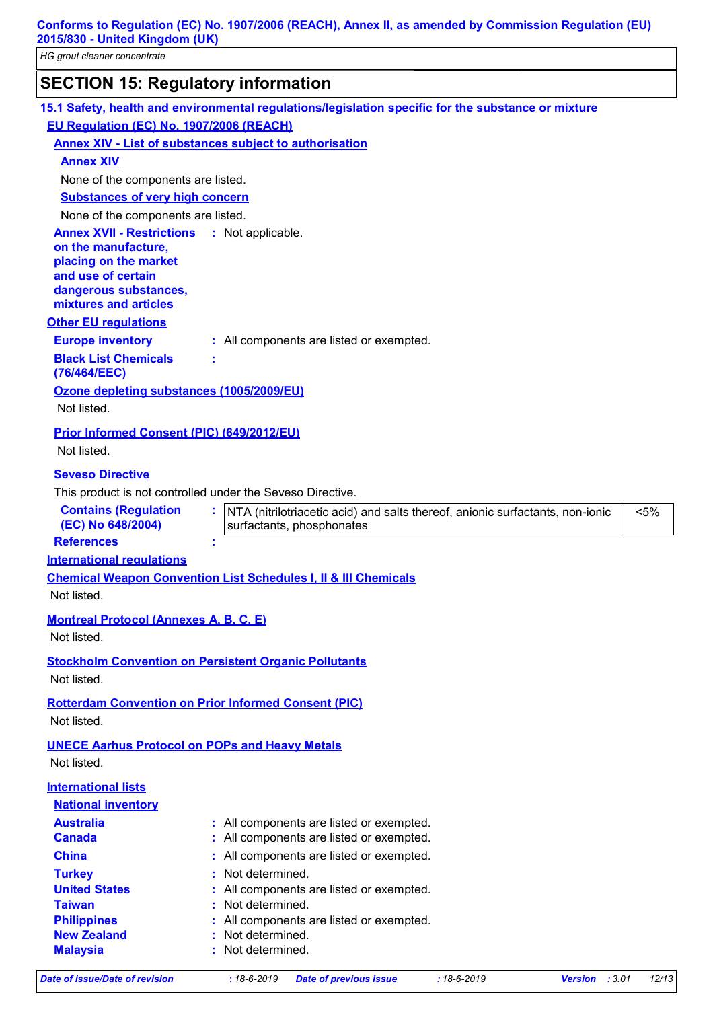| <b>SECTION 15: Regulatory information</b>                                                                                                                |                                                                                                     |
|----------------------------------------------------------------------------------------------------------------------------------------------------------|-----------------------------------------------------------------------------------------------------|
|                                                                                                                                                          | 15.1 Safety, health and environmental regulations/legislation specific for the substance or mixture |
| EU Regulation (EC) No. 1907/2006 (REACH)                                                                                                                 |                                                                                                     |
| <b>Annex XIV - List of substances subject to authorisation</b>                                                                                           |                                                                                                     |
| <b>Annex XIV</b>                                                                                                                                         |                                                                                                     |
| None of the components are listed.                                                                                                                       |                                                                                                     |
| <b>Substances of very high concern</b>                                                                                                                   |                                                                                                     |
| None of the components are listed.                                                                                                                       |                                                                                                     |
| <b>Annex XVII - Restrictions</b><br>on the manufacture,<br>placing on the market<br>and use of certain<br>dangerous substances,<br>mixtures and articles | : Not applicable.                                                                                   |
| <b>Other EU regulations</b>                                                                                                                              |                                                                                                     |
| <b>Europe inventory</b>                                                                                                                                  | : All components are listed or exempted.                                                            |
| <b>Black List Chemicals</b>                                                                                                                              |                                                                                                     |
| (76/464/EEC)                                                                                                                                             |                                                                                                     |
| Ozone depleting substances (1005/2009/EU)                                                                                                                |                                                                                                     |
| Not listed.                                                                                                                                              |                                                                                                     |
| <b>Prior Informed Consent (PIC) (649/2012/EU)</b>                                                                                                        |                                                                                                     |
| Not listed.                                                                                                                                              |                                                                                                     |
| <b>Seveso Directive</b>                                                                                                                                  |                                                                                                     |
| This product is not controlled under the Seveso Directive.                                                                                               |                                                                                                     |
| <b>Contains (Regulation</b>                                                                                                                              | : NTA (nitrilotriacetic acid) and salts thereof, anionic surfactants, non-ionic<br>$< 5\%$          |
| (EC) No 648/2004)                                                                                                                                        | surfactants, phosphonates                                                                           |
| <b>References</b>                                                                                                                                        |                                                                                                     |
| <b>International requlations</b>                                                                                                                         |                                                                                                     |
|                                                                                                                                                          | <b>Chemical Weapon Convention List Schedules I, II &amp; III Chemicals</b>                          |
| Not listed.                                                                                                                                              |                                                                                                     |
| <b>Montreal Protocol (Annexes A, B, C, E)</b>                                                                                                            |                                                                                                     |
| Not listed.                                                                                                                                              |                                                                                                     |
|                                                                                                                                                          |                                                                                                     |
| <b>Stockholm Convention on Persistent Organic Pollutants</b>                                                                                             |                                                                                                     |
| Not listed.                                                                                                                                              |                                                                                                     |
| <b>Rotterdam Convention on Prior Informed Consent (PIC)</b><br>Not listed.                                                                               |                                                                                                     |
| <b>UNECE Aarhus Protocol on POPs and Heavy Metals</b>                                                                                                    |                                                                                                     |
| Not listed.                                                                                                                                              |                                                                                                     |
| <b>International lists</b>                                                                                                                               |                                                                                                     |
| <b>National inventory</b>                                                                                                                                |                                                                                                     |
| <b>Australia</b>                                                                                                                                         | : All components are listed or exempted.                                                            |
| <b>Canada</b>                                                                                                                                            | : All components are listed or exempted.                                                            |
| <b>China</b>                                                                                                                                             | : All components are listed or exempted.                                                            |
| <b>Turkey</b>                                                                                                                                            | Not determined.                                                                                     |
| <b>United States</b>                                                                                                                                     | All components are listed or exempted.                                                              |
| <b>Taiwan</b>                                                                                                                                            | Not determined.                                                                                     |
| <b>Philippines</b>                                                                                                                                       | All components are listed or exempted.                                                              |
|                                                                                                                                                          | Not determined.                                                                                     |
| <b>New Zealand</b><br><b>Malaysia</b>                                                                                                                    | Not determined.                                                                                     |